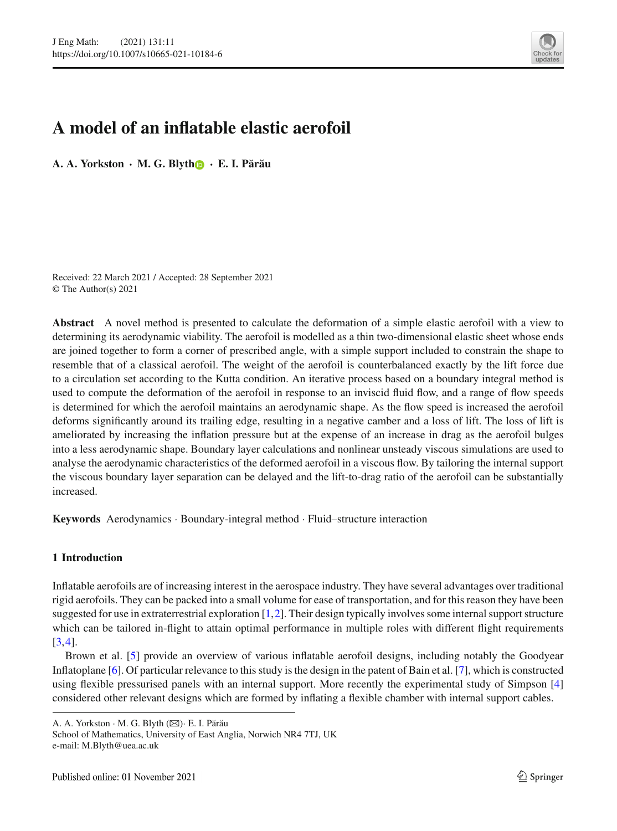

# **A model of an inflatable elastic aerofoil**

**A. A. Yorkston · M. G. Blyt[h](http://orcid.org/0000-0002-7480-4138) · E. I. P˘ar˘au**

Received: 22 March 2021 / Accepted: 28 September 2021 © The Author(s) 2021

**Abstract** A novel method is presented to calculate the deformation of a simple elastic aerofoil with a view to determining its aerodynamic viability. The aerofoil is modelled as a thin two-dimensional elastic sheet whose ends are joined together to form a corner of prescribed angle, with a simple support included to constrain the shape to resemble that of a classical aerofoil. The weight of the aerofoil is counterbalanced exactly by the lift force due to a circulation set according to the Kutta condition. An iterative process based on a boundary integral method is used to compute the deformation of the aerofoil in response to an inviscid fluid flow, and a range of flow speeds is determined for which the aerofoil maintains an aerodynamic shape. As the flow speed is increased the aerofoil deforms significantly around its trailing edge, resulting in a negative camber and a loss of lift. The loss of lift is ameliorated by increasing the inflation pressure but at the expense of an increase in drag as the aerofoil bulges into a less aerodynamic shape. Boundary layer calculations and nonlinear unsteady viscous simulations are used to analyse the aerodynamic characteristics of the deformed aerofoil in a viscous flow. By tailoring the internal support the viscous boundary layer separation can be delayed and the lift-to-drag ratio of the aerofoil can be substantially increased.

**Keywords** Aerodynamics · Boundary-integral method · Fluid–structure interaction

# **1 Introduction**

Inflatable aerofoils are of increasing interest in the aerospace industry. They have several advantages over traditional rigid aerofoils. They can be packed into a small volume for ease of transportation, and for this reason they have been suggested for use in extraterrestrial exploration [\[1](#page-15-0),[2\]](#page-15-1). Their design typically involves some internal support structure which can be tailored in-flight to attain optimal performance in multiple roles with different flight requirements [\[3](#page-15-2)[,4](#page-15-3)].

Brown et al. [\[5\]](#page-15-4) provide an overview of various inflatable aerofoil designs, including notably the Goodyear Inflatoplane [\[6](#page-15-5)]. Of particular relevance to this study is the design in the patent of Bain et al. [\[7\]](#page-15-6), which is constructed using flexible pressurised panels with an internal support. More recently the experimental study of Simpson [\[4\]](#page-15-3) considered other relevant designs which are formed by inflating a flexible chamber with internal support cables.

A. A. Yorkston · M. G. Blyth ( $\boxtimes$ ) · E. I. Părău

School of Mathematics, University of East Anglia, Norwich NR4 7TJ, UK e-mail: M.Blyth@uea.ac.uk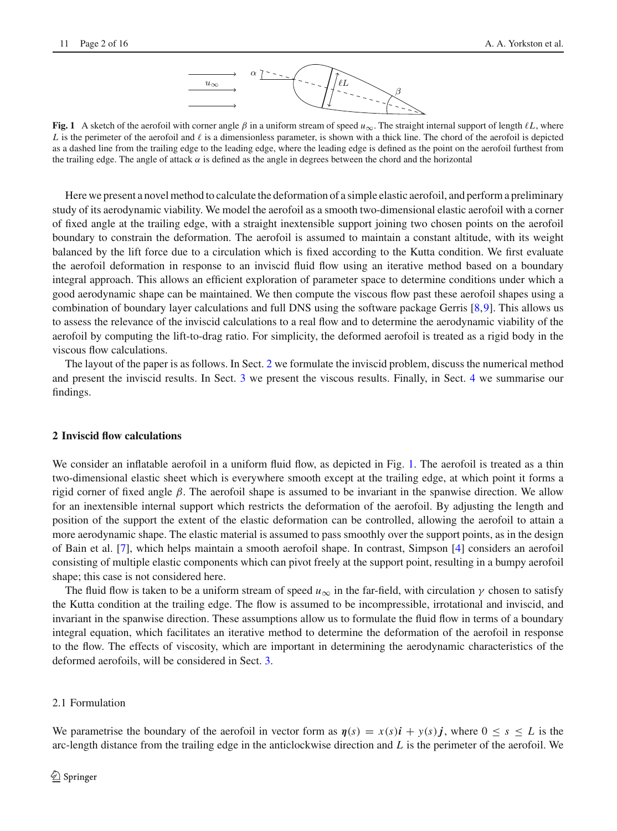

<span id="page-1-1"></span>**Fig. 1** A sketch of the aerofoil with corner angle  $\beta$  in a uniform stream of speed  $u_{\infty}$ . The straight internal support of length  $\ell L$ , where *L* is the perimeter of the aerofoil and  $\ell$  is a dimensionless parameter, is shown with a thick line. The chord of the aerofoil is depicted as a dashed line from the trailing edge to the leading edge, where the leading edge is defined as the point on the aerofoil furthest from the trailing edge. The angle of attack  $\alpha$  is defined as the angle in degrees between the chord and the horizontal

Here we present a novel method to calculate the deformation of a simple elastic aerofoil, and perform a preliminary study of its aerodynamic viability. We model the aerofoil as a smooth two-dimensional elastic aerofoil with a corner of fixed angle at the trailing edge, with a straight inextensible support joining two chosen points on the aerofoil boundary to constrain the deformation. The aerofoil is assumed to maintain a constant altitude, with its weight balanced by the lift force due to a circulation which is fixed according to the Kutta condition. We first evaluate the aerofoil deformation in response to an inviscid fluid flow using an iterative method based on a boundary integral approach. This allows an efficient exploration of parameter space to determine conditions under which a good aerodynamic shape can be maintained. We then compute the viscous flow past these aerofoil shapes using a combination of boundary layer calculations and full DNS using the software package Gerris [\[8](#page-15-7)[,9](#page-15-8)]. This allows us to assess the relevance of the inviscid calculations to a real flow and to determine the aerodynamic viability of the aerofoil by computing the lift-to-drag ratio. For simplicity, the deformed aerofoil is treated as a rigid body in the viscous flow calculations.

The layout of the paper is as follows. In Sect. [2](#page-1-0) we formulate the inviscid problem, discuss the numerical method and present the inviscid results. In Sect. [3](#page-11-0) we present the viscous results. Finally, in Sect. [4](#page-14-0) we summarise our findings.

#### <span id="page-1-0"></span>**2 Inviscid flow calculations**

We consider an inflatable aerofoil in a uniform fluid flow, as depicted in Fig. [1.](#page-1-1) The aerofoil is treated as a thin two-dimensional elastic sheet which is everywhere smooth except at the trailing edge, at which point it forms a rigid corner of fixed angle β. The aerofoil shape is assumed to be invariant in the spanwise direction. We allow for an inextensible internal support which restricts the deformation of the aerofoil. By adjusting the length and position of the support the extent of the elastic deformation can be controlled, allowing the aerofoil to attain a more aerodynamic shape. The elastic material is assumed to pass smoothly over the support points, as in the design of Bain et al. [\[7\]](#page-15-6), which helps maintain a smooth aerofoil shape. In contrast, Simpson [\[4\]](#page-15-3) considers an aerofoil consisting of multiple elastic components which can pivot freely at the support point, resulting in a bumpy aerofoil shape; this case is not considered here.

The fluid flow is taken to be a uniform stream of speed  $u_{\infty}$  in the far-field, with circulation  $\gamma$  chosen to satisfy the Kutta condition at the trailing edge. The flow is assumed to be incompressible, irrotational and inviscid, and invariant in the spanwise direction. These assumptions allow us to formulate the fluid flow in terms of a boundary integral equation, which facilitates an iterative method to determine the deformation of the aerofoil in response to the flow. The effects of viscosity, which are important in determining the aerodynamic characteristics of the deformed aerofoils, will be considered in Sect. [3.](#page-11-0)

#### 2.1 Formulation

We parametrise the boundary of the aerofoil in vector form as  $\eta(s) = x(s)i + y(s)j$ , where  $0 \le s \le L$  is the arc-length distance from the trailing edge in the anticlockwise direction and *L* is the perimeter of the aerofoil. We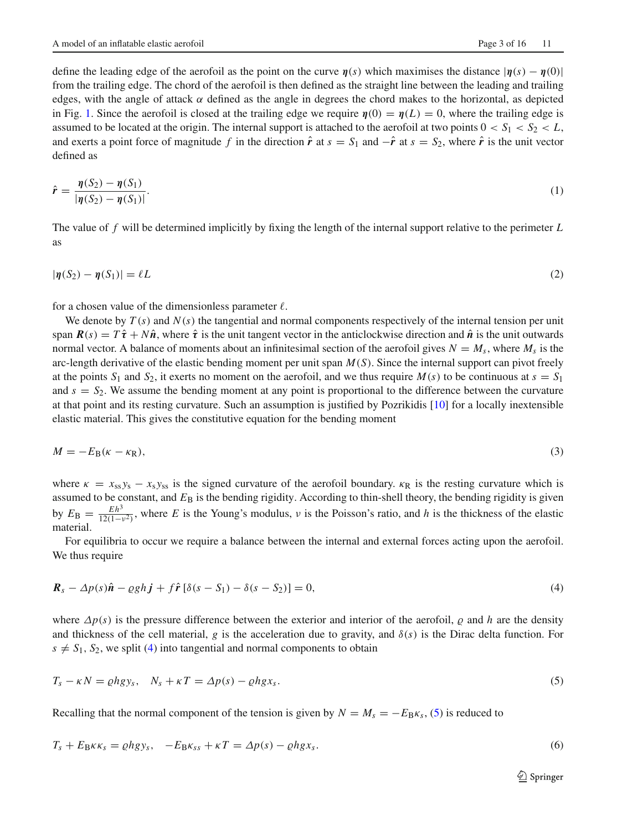define the leading edge of the aerofoil as the point on the curve  $\eta(s)$  which maximises the distance  $|\eta(s) - \eta(0)|$ from the trailing edge. The chord of the aerofoil is then defined as the straight line between the leading and trailing edges, with the angle of attack  $\alpha$  defined as the angle in degrees the chord makes to the horizontal, as depicted in Fig. [1.](#page-1-1) Since the aerofoil is closed at the trailing edge we require  $\eta(0) = \eta(L) = 0$ , where the trailing edge is assumed to be located at the origin. The internal support is attached to the aerofoil at two points  $0 < S_1 < S_2 < L$ , and exerts a point force of magnitude *f* in the direction  $\hat{r}$  at  $s = S_1$  and  $-\hat{r}$  at  $s = S_2$ , where  $\hat{r}$  is the unit vector defined as

$$
\hat{r} = \frac{\eta(S_2) - \eta(S_1)}{|\eta(S_2) - \eta(S_1)|}.\tag{1}
$$

The value of *f* will be determined implicitly by fixing the length of the internal support relative to the perimeter *L* as

$$
|\eta(S_2) - \eta(S_1)| = \ell L \tag{2}
$$

for a chosen value of the dimensionless parameter  $\ell$ .

We denote by  $T(s)$  and  $N(s)$  the tangential and normal components respectively of the internal tension per unit span  $\mathbf{R}(s) = T\hat{\tau} + N\hat{\boldsymbol{n}}$ , where  $\hat{\tau}$  is the unit tangent vector in the anticlockwise direction and  $\hat{\boldsymbol{n}}$  is the unit outwards normal vector. A balance of moments about an infinitesimal section of the aerofoil gives  $N = M_s$ , where  $M_s$  is the arc-length derivative of the elastic bending moment per unit span *M*(*S*). Since the internal support can pivot freely at the points  $S_1$  and  $S_2$ , it exerts no moment on the aerofoil, and we thus require  $M(s)$  to be continuous at  $s = S_1$ and  $s = S_2$ . We assume the bending moment at any point is proportional to the difference between the curvature at that point and its resting curvature. Such an assumption is justified by Pozrikidis [\[10\]](#page-15-9) for a locally inextensible elastic material. This gives the constitutive equation for the bending moment

$$
M = -E_{\rm B}(\kappa - \kappa_{\rm R}),\tag{3}
$$

where  $\kappa = x_{ss} y_s - x_s y_{ss}$  is the signed curvature of the aerofoil boundary.  $\kappa_R$  is the resting curvature which is assumed to be constant, and  $E_B$  is the bending rigidity. According to thin-shell theory, the bending rigidity is given by  $E_{\rm B} = \frac{Eh^3}{12(1-v^2)}$ , where *E* is the Young's modulus, *v* is the Poisson's ratio, and *h* is the thickness of the elastic material.

<span id="page-2-0"></span>For equilibria to occur we require a balance between the internal and external forces acting upon the aerofoil. We thus require

$$
\mathbf{R}_s - \Delta p(s)\hat{\mathbf{n}} - \varrho g h \mathbf{j} + f \hat{\mathbf{r}} \left[ \delta(s - S_1) - \delta(s - S_2) \right] = 0,\tag{4}
$$

<span id="page-2-1"></span>where  $\Delta p(s)$  is the pressure difference between the exterior and interior of the aerofoil,  $\rho$  and  $h$  are the density and thickness of the cell material, *g* is the acceleration due to gravity, and  $\delta(s)$  is the Dirac delta function. For  $s \neq S_1$ ,  $S_2$ , we split [\(4\)](#page-2-0) into tangential and normal components to obtain

$$
T_s - \kappa N = \rho h g y_s, \quad N_s + \kappa T = \Delta p(s) - \rho h g x_s. \tag{5}
$$

Recalling that the normal component of the tension is given by  $N = M_s = -E_B \kappa_s$ , [\(5\)](#page-2-1) is reduced to

$$
T_s + E_B \kappa \kappa_s = \rho h g y_s, \quad -E_B \kappa_{ss} + \kappa T = \Delta p(s) - \rho h g x_s. \tag{6}
$$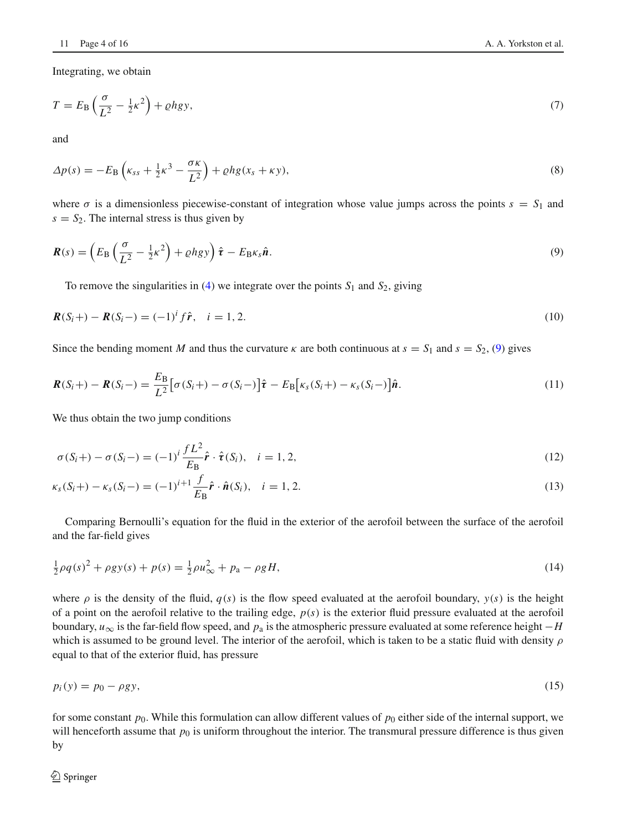Integrating, we obtain

$$
T = E_{\rm B} \left( \frac{\sigma}{L^2} - \frac{1}{2} \kappa^2 \right) + \varrho h g y,\tag{7}
$$

<span id="page-3-1"></span>and

$$
\Delta p(s) = -E_{\rm B} \left( \kappa_{ss} + \frac{1}{2} \kappa^3 - \frac{\sigma \kappa}{L^2} \right) + \varrho h g(x_s + \kappa y), \tag{8}
$$

<span id="page-3-0"></span>where  $\sigma$  is a dimensionless piecewise-constant of integration whose value jumps across the points  $s = S_1$  and  $s = S_2$ . The internal stress is thus given by

$$
\boldsymbol{R}(s) = \left(E_{\rm B}\left(\frac{\sigma}{L^2} - \frac{1}{2}\kappa^2\right) + \varrho h g y\right) \hat{\boldsymbol{\tau}} - E_{\rm B} \kappa_s \hat{\boldsymbol{n}}.
$$
\n(9)

To remove the singularities in  $(4)$  we integrate over the points  $S_1$  and  $S_2$ , giving

$$
\mathbf{R}(S_i+) - \mathbf{R}(S_i-) = (-1)^i f \hat{\mathbf{r}}, \quad i = 1, 2. \tag{10}
$$

Since the bending moment *M* and thus the curvature  $\kappa$  are both continuous at  $s = S_1$  and  $s = S_2$ , [\(9\)](#page-3-0) gives

$$
\boldsymbol{R}(S_i+) - \boldsymbol{R}(S_i-) = \frac{E_B}{L^2} \big[ \sigma(S_i+) - \sigma(S_i-) \big] \hat{\boldsymbol{\tau}} - E_B \big[ \kappa_s(S_i+) - \kappa_s(S_i-) \big] \hat{\boldsymbol{n}}. \tag{11}
$$

We thus obtain the two jump conditions

<span id="page-3-3"></span><span id="page-3-2"></span>
$$
\sigma(S_i+) - \sigma(S_i-) = (-1)^i \frac{fL^2}{E_B} \hat{\mathbf{r}} \cdot \hat{\mathbf{r}}(S_i), \quad i = 1, 2,
$$
\n(12)

$$
\kappa_{s}(S_{i}+) - \kappa_{s}(S_{i}-) = (-1)^{i+1} \frac{f}{E_{\mathbf{B}}} \hat{\mathbf{r}} \cdot \hat{\mathbf{n}}(S_{i}), \quad i = 1, 2.
$$
\n(13)

Comparing Bernoulli's equation for the fluid in the exterior of the aerofoil between the surface of the aerofoil and the far-field gives

$$
\frac{1}{2}\rho q(s)^2 + \rho gy(s) + p(s) = \frac{1}{2}\rho u_{\infty}^2 + p_a - \rho g H,
$$
\n(14)

where  $\rho$  is the density of the fluid,  $q(s)$  is the flow speed evaluated at the aerofoil boundary,  $y(s)$  is the height of a point on the aerofoil relative to the trailing edge, *p*(*s*) is the exterior fluid pressure evaluated at the aerofoil boundary,  $u_{\infty}$  is the far-field flow speed, and  $p_a$  is the atmospheric pressure evaluated at some reference height  $-H$ which is assumed to be ground level. The interior of the aerofoil, which is taken to be a static fluid with density  $\rho$ equal to that of the exterior fluid, has pressure

$$
p_i(y) = p_0 - \rho g y,\tag{15}
$$

<span id="page-3-4"></span>for some constant  $p_0$ . While this formulation can allow different values of  $p_0$  either side of the internal support, we will henceforth assume that  $p_0$  is uniform throughout the interior. The transmural pressure difference is thus given by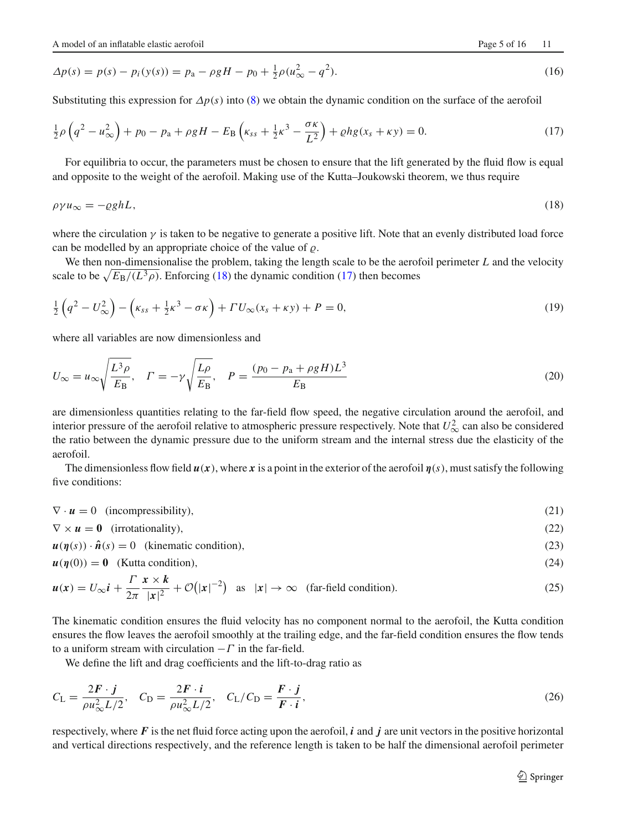<span id="page-4-1"></span>
$$
\Delta p(s) = p(s) - p_i(y(s)) = p_a - \rho g H - p_0 + \frac{1}{2}\rho (u_{\infty}^2 - q^2). \tag{16}
$$

Substituting this expression for  $\Delta p(s)$  into [\(8\)](#page-3-1) we obtain the dynamic condition on the surface of the aerofoil

$$
\frac{1}{2}\rho\left(q^2 - u_{\infty}^2\right) + p_0 - p_a + \rho g H - E_B\left(\kappa_{ss} + \frac{1}{2}\kappa^3 - \frac{\sigma \kappa}{L^2}\right) + \rho h g(x_s + \kappa y) = 0. \tag{17}
$$

<span id="page-4-0"></span>For equilibria to occur, the parameters must be chosen to ensure that the lift generated by the fluid flow is equal and opposite to the weight of the aerofoil. Making use of the Kutta–Joukowski theorem, we thus require

$$
\rho \gamma u_{\infty} = -\varrho g h L,\tag{18}
$$

where the circulation  $\gamma$  is taken to be negative to generate a positive lift. Note that an evenly distributed load force can be modelled by an appropriate choice of the value of  $\rho$ .

<span id="page-4-2"></span>We then non-dimensionalise the problem, taking the length scale to be the aerofoil perimeter *L* and the velocity scale to be  $\sqrt{E_B/(L^3 \rho)}$ . Enforcing [\(18\)](#page-4-0) the dynamic condition [\(17\)](#page-4-1) then becomes

<span id="page-4-7"></span>
$$
\frac{1}{2}\left(q^2 - U_{\infty}^2\right) - \left(\kappa_{ss} + \frac{1}{2}\kappa^3 - \sigma\kappa\right) + \Gamma U_{\infty}(x_s + \kappa y) + P = 0,\tag{19}
$$

where all variables are now dimensionless and

$$
U_{\infty} = u_{\infty} \sqrt{\frac{L^3 \rho}{E_B}}, \quad \Gamma = -\gamma \sqrt{\frac{L \rho}{E_B}}, \quad P = \frac{(p_0 - p_a + \rho g H)L^3}{E_B}
$$
(20)

are dimensionless quantities relating to the far-field flow speed, the negative circulation around the aerofoil, and interior pressure of the aerofoil relative to atmospheric pressure respectively. Note that  $U_{\infty}^2$  can also be considered the ratio between the dynamic pressure due to the uniform stream and the internal stress due the elasticity of the aerofoil.

<span id="page-4-3"></span>The dimensionless flow field  $u(x)$ , where x is a point in the exterior of the aerofoil  $\eta(s)$ , must satisfy the following five conditions:

 $\nabla \cdot \mathbf{u} = 0$  (incompressibility), (21)

 $\nabla \times \mathbf{u} = \mathbf{0}$  (irrotationality), (22)

 $u(\eta(s)) \cdot \hat{n}(s) = 0$  (kinematic condition), (23)

<span id="page-4-6"></span><span id="page-4-5"></span>
$$
u(\eta(0)) = 0 \quad \text{(Kutta condition)},\tag{24}
$$

$$
u(x) = U_{\infty} i + \frac{\Gamma}{2\pi} \frac{x \times k}{|x|^2} + \mathcal{O}(|x|^{-2}) \quad \text{as} \quad |x| \to \infty \quad \text{(far-field condition)}.
$$

The kinematic condition ensures the fluid velocity has no component normal to the aerofoil, the Kutta condition ensures the flow leaves the aerofoil smoothly at the trailing edge, and the far-field condition ensures the flow tends to a uniform stream with circulation  $-\Gamma$  in the far-field.

<span id="page-4-4"></span>We define the lift and drag coefficients and the lift-to-drag ratio as

$$
C_{\rm L} = \frac{2\mathbf{F} \cdot \mathbf{j}}{\rho u_{\infty}^2 L/2}, \quad C_{\rm D} = \frac{2\mathbf{F} \cdot \mathbf{i}}{\rho u_{\infty}^2 L/2}, \quad C_{\rm L}/C_{\rm D} = \frac{\mathbf{F} \cdot \mathbf{j}}{\mathbf{F} \cdot \mathbf{i}}, \tag{26}
$$

respectively, where  $\vec{F}$  is the net fluid force acting upon the aerofoil,  $\vec{i}$  and  $\vec{j}$  are unit vectors in the positive horizontal and vertical directions respectively, and the reference length is taken to be half the dimensional aerofoil perimeter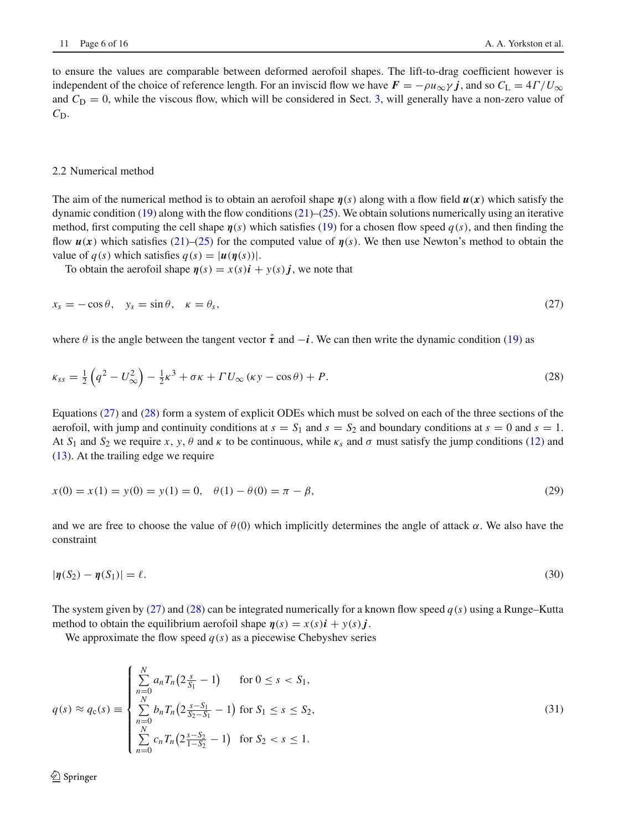to ensure the values are comparable between deformed aerofoil shapes. The lift-to-drag coefficient however is independent of the choice of reference length. For an inviscid flow we have  $\vec{F} = -\rho u_{\infty} \gamma \hat{j}$ , and so  $C_L = 4\Gamma/U_{\infty}$ and  $C_D = 0$ , while the viscous flow, which will be considered in Sect. [3,](#page-11-0) will generally have a non-zero value of  $C_{\rm D}$ .

## 2.2 Numerical method

The aim of the numerical method is to obtain an aerofoil shape *η*(*s*) along with a flow field *u*(*x*) which satisfy the dynamic condition [\(19\)](#page-4-2) along with the flow conditions [\(21\)](#page-4-3)–[\(25\)](#page-4-4). We obtain solutions numerically using an iterative method, first computing the cell shape  $\eta(s)$  which satisfies [\(19\)](#page-4-2) for a chosen flow speed  $q(s)$ , and then finding the flow *u*(*x*) which satisfies [\(21\)](#page-4-3)–[\(25\)](#page-4-4) for the computed value of *η*(*s*). We then use Newton's method to obtain the value of  $q(s)$  which satisfies  $q(s) = |u(\eta(s))|$ .

<span id="page-5-1"></span><span id="page-5-0"></span>To obtain the aerofoil shape  $\eta(s) = x(s)\mathbf{i} + y(s)\mathbf{j}$ , we note that

$$
x_s = -\cos\theta, \quad y_s = \sin\theta, \quad \kappa = \theta_s,\tag{27}
$$

where  $\theta$  is the angle between the tangent vector  $\hat{\tau}$  and  $-\hat{i}$ . We can then write the dynamic condition [\(19\)](#page-4-2) as

$$
\kappa_{ss} = \frac{1}{2} \left( q^2 - U_{\infty}^2 \right) - \frac{1}{2} \kappa^3 + \sigma \kappa + \Gamma U_{\infty} \left( \kappa y - \cos \theta \right) + P. \tag{28}
$$

Equations [\(27\)](#page-5-0) and [\(28\)](#page-5-1) form a system of explicit ODEs which must be solved on each of the three sections of the aerofoil, with jump and continuity conditions at  $s = S_1$  and  $s = S_2$  and boundary conditions at  $s = 0$  and  $s = 1$ . At  $S_1$  and  $S_2$  we require *x*, *y*,  $\theta$  and  $\kappa$  to be continuous, while  $\kappa_s$  and  $\sigma$  must satisfy the jump conditions [\(12\)](#page-3-2) and [\(13\)](#page-3-3). At the trailing edge we require

$$
x(0) = x(1) = y(0) = y(1) = 0, \quad \theta(1) - \theta(0) = \pi - \beta,
$$
\n(29)

and we are free to choose the value of  $\theta(0)$  which implicitly determines the angle of attack  $\alpha$ . We also have the constraint

$$
|\eta(S_2) - \eta(S_1)| = \ell. \tag{30}
$$

The system given by [\(27\)](#page-5-0) and [\(28\)](#page-5-1) can be integrated numerically for a known flow speed  $q(s)$  using a Runge–Kutta method to obtain the equilibrium aerofoil shape  $\eta(s) = x(s)i + y(s)j$ .

We approximate the flow speed  $q(s)$  as a piecewise Chebyshev series

$$
q(s) \approx q_{c}(s) \equiv \begin{cases} \sum_{n=0}^{N} a_{n} T_{n} \left( 2\frac{s}{S_{1}} - 1 \right) & \text{for } 0 \le s < S_{1}, \\ \sum_{n=0}^{N} b_{n} T_{n} \left( 2\frac{s-S_{1}}{S_{2}-S_{1}} - 1 \right) & \text{for } S_{1} \le s \le S_{2}, \\ \sum_{n=0}^{N} c_{n} T_{n} \left( 2\frac{s-S_{2}}{1-S_{2}} - 1 \right) & \text{for } S_{2} < s \le 1. \end{cases} \tag{31}
$$

 $\textcircled{2}$  Springer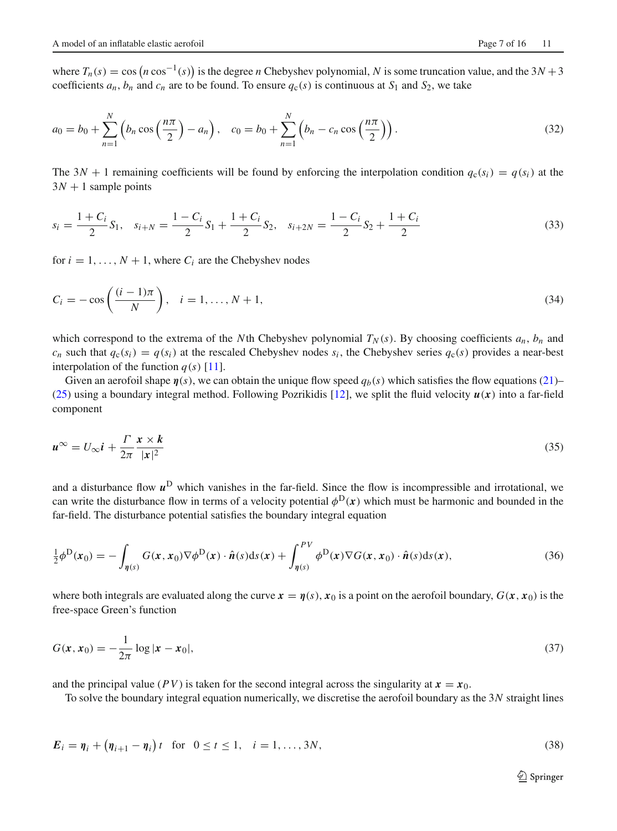where  $T_n(s) = \cos(n \cos^{-1}(s))$  is the degree *n* Chebyshev polynomial, *N* is some truncation value, and the 3*N* + 3 coefficients  $a_n$ ,  $b_n$  and  $c_n$  are to be found. To ensure  $q_c(s)$  is continuous at  $S_1$  and  $S_2$ , we take

$$
a_0 = b_0 + \sum_{n=1}^{N} \left( b_n \cos\left(\frac{n\pi}{2}\right) - a_n \right), \quad c_0 = b_0 + \sum_{n=1}^{N} \left( b_n - c_n \cos\left(\frac{n\pi}{2}\right) \right).
$$
 (32)

The  $3N + 1$  remaining coefficients will be found by enforcing the interpolation condition  $q_c(s_i) = q(s_i)$  at the  $3N + 1$  sample points

$$
s_i = \frac{1+C_i}{2}S_1, \quad s_{i+N} = \frac{1-C_i}{2}S_1 + \frac{1+C_i}{2}S_2, \quad s_{i+2N} = \frac{1-C_i}{2}S_2 + \frac{1+C_i}{2}
$$
(33)

for  $i = 1, \ldots, N + 1$ , where  $C_i$  are the Chebyshev nodes

$$
C_i = -\cos\left(\frac{(i-1)\pi}{N}\right), \quad i = 1, \dots, N+1,
$$
\n
$$
(34)
$$

which correspond to the extrema of the *N*th Chebyshev polynomial  $T_N(s)$ . By choosing coefficients  $a_n$ ,  $b_n$  and  $c_n$  such that  $q_c(s_i) = q(s_i)$  at the rescaled Chebyshev nodes  $s_i$ , the Chebyshev series  $q_c(s)$  provides a near-best interpolation of the function  $q(s)$  [\[11](#page-15-10)].

Given an aerofoil shape  $\eta(s)$ , we can obtain the unique flow speed  $q_b(s)$  which satisfies the flow equations [\(21\)](#page-4-3)– [\(25\)](#page-4-4) using a boundary integral method. Following Pozrikidis [\[12](#page-15-11)], we split the fluid velocity *u*(*x*) into a far-field component

$$
u^{\infty} = U_{\infty} i + \frac{\Gamma}{2\pi} \frac{x \times k}{|x|^2}
$$
\n(35)

<span id="page-6-0"></span>and a disturbance flow  $u^D$  which vanishes in the far-field. Since the flow is incompressible and irrotational, we can write the disturbance flow in terms of a velocity potential  $\phi^D(x)$  which must be harmonic and bounded in the far-field. The disturbance potential satisfies the boundary integral equation

$$
\frac{1}{2}\phi^{\mathcal{D}}(\mathbf{x}_{0}) = -\int_{\eta(s)} G(\mathbf{x}, \mathbf{x}_{0}) \nabla \phi^{\mathcal{D}}(\mathbf{x}) \cdot \hat{\mathbf{n}}(s) \mathrm{d}s(\mathbf{x}) + \int_{\eta(s)}^{\rho(\mathcal{V})} \phi^{\mathcal{D}}(\mathbf{x}) \nabla G(\mathbf{x}, \mathbf{x}_{0}) \cdot \hat{\mathbf{n}}(s) \mathrm{d}s(\mathbf{x}), \tag{36}
$$

where both integrals are evaluated along the curve  $\mathbf{x} = \eta(s)$ ,  $x_0$  is a point on the aerofoil boundary,  $G(\mathbf{x}, x_0)$  is the free-space Green's function

$$
G(x, x_0) = -\frac{1}{2\pi} \log |x - x_0|,\tag{37}
$$

and the principal value (*PV*) is taken for the second integral across the singularity at  $x = x_0$ .

To solve the boundary integral equation numerically, we discretise the aerofoil boundary as the 3*N* straight lines

$$
E_i = \eta_i + (\eta_{i+1} - \eta_i)t \text{ for } 0 \le t \le 1, \quad i = 1, ..., 3N,
$$
 (38)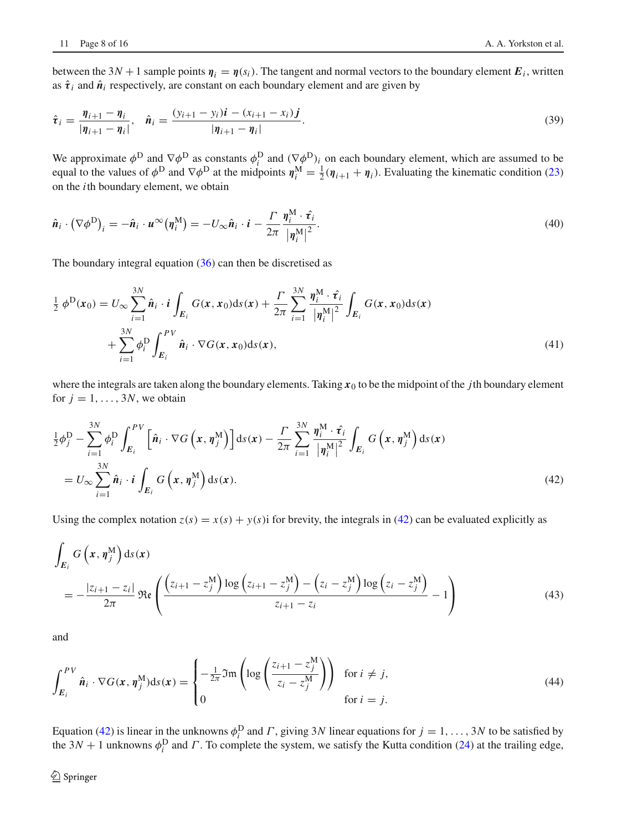$$
\hat{\boldsymbol{\tau}}_i = \frac{\boldsymbol{\eta}_{i+1} - \boldsymbol{\eta}_i}{|\boldsymbol{\eta}_{i+1} - \boldsymbol{\eta}_i|}, \quad \hat{\boldsymbol{n}}_i = \frac{(y_{i+1} - y_i)\boldsymbol{i} - (x_{i+1} - x_i)\boldsymbol{j}}{|\boldsymbol{\eta}_{i+1} - \boldsymbol{\eta}_i|}.
$$
\n(39)

We approximate  $\phi^D$  and  $\nabla \phi^D$  as constants  $\phi_i^D$  and  $(\nabla \phi^D)_i$  on each boundary element, which are assumed to be equal to the values of  $\phi^D$  and  $\nabla \phi^D$  at the midpoints  $\eta_i^M = \frac{1}{2}(\eta_{i+1} + \eta_i)$ . Evaluating the kinematic condition [\(23\)](#page-4-5) on the *i*th boundary element, we obtain

$$
\hat{\boldsymbol{n}}_i \cdot (\nabla \phi^{\text{D}})_i = -\hat{\boldsymbol{n}}_i \cdot \boldsymbol{u}^{\infty} (\boldsymbol{\eta}_i^{\text{M}}) = -U_{\infty} \hat{\boldsymbol{n}}_i \cdot \boldsymbol{i} - \frac{\Gamma}{2\pi} \frac{\boldsymbol{\eta}_i^{\text{M}} \cdot \hat{\boldsymbol{\tau}}_i}{|\boldsymbol{\eta}_i^{\text{M}}|^2}.
$$
\n(40)

The boundary integral equation [\(36\)](#page-6-0) can then be discretised as

$$
\frac{1}{2} \phi^{\text{D}}(x_0) = U_{\infty} \sum_{i=1}^{3N} \hat{n}_i \cdot i \int_{E_i} G(x, x_0) \, ds(x) + \frac{\Gamma}{2\pi} \sum_{i=1}^{3N} \frac{\eta_i^{\text{M}} \cdot \hat{\tau}_i}{|\eta_i^{\text{M}}|^2} \int_{E_i} G(x, x_0) \, ds(x) \n+ \sum_{i=1}^{3N} \phi_i^{\text{D}} \int_{E_i}^{PV} \hat{n}_i \cdot \nabla G(x, x_0) \, ds(x), \tag{41}
$$

where the integrals are taken along the boundary elements. Taking  $x_0$  to be the midpoint of the *j*th boundary element for  $j = 1, \ldots, 3N$ , we obtain

<span id="page-7-0"></span>
$$
\frac{1}{2}\phi_j^D - \sum_{i=1}^{3N} \phi_i^D \int_{E_i}^{PV} \left[\hat{\boldsymbol{n}}_i \cdot \nabla G\left(\boldsymbol{x}, \boldsymbol{\eta}_j^M\right)\right] ds(\boldsymbol{x}) - \frac{\Gamma}{2\pi} \sum_{i=1}^{3N} \frac{\eta_i^M \cdot \hat{\boldsymbol{\tau}}_i}{\left|\eta_i^M\right|^2} \int_{E_i} G\left(\boldsymbol{x}, \boldsymbol{\eta}_j^M\right) ds(\boldsymbol{x})
$$
\n
$$
= U_{\infty} \sum_{i=1}^{3N} \hat{\boldsymbol{n}}_i \cdot \boldsymbol{i} \int_{E_i} G\left(\boldsymbol{x}, \boldsymbol{\eta}_j^M\right) ds(\boldsymbol{x}). \tag{42}
$$

Using the complex notation  $z(s) = x(s) + y(s)$  for brevity, the integrals in [\(42\)](#page-7-0) can be evaluated explicitly as

$$
\int_{E_i} G\left(x, \eta_j^M\right) ds(x)
$$
\n
$$
= -\frac{|z_{i+1} - z_i|}{2\pi} \mathfrak{Re}\left(\frac{\left(z_{i+1} - z_j^M\right) \log\left(z_{i+1} - z_j^M\right) - \left(z_i - z_j^M\right) \log\left(z_i - z_j^M\right)}{z_{i+1} - z_i} - 1\right)
$$
\n(43)

and

$$
\int_{E_i}^{PV} \hat{\boldsymbol{n}}_i \cdot \nabla G(\boldsymbol{x}, \boldsymbol{\eta}_j^{\mathrm{M}}) \mathrm{d}s(\boldsymbol{x}) = \begin{cases} -\frac{1}{2\pi} \mathfrak{Im} \left( \log \left( \frac{z_{i+1} - z_j^{\mathrm{M}}}{z_i - z_j^{\mathrm{M}}} \right) \right) & \text{for } i \neq j, \\ 0 & \text{for } i = j. \end{cases} \tag{44}
$$

Equation [\(42\)](#page-7-0) is linear in the unknowns  $\phi_i^D$  and  $\Gamma$ , giving 3*N* linear equations for  $j = 1, ..., 3N$  to be satisfied by the  $3N + 1$  unknowns  $\phi_i^D$  and  $\Gamma$ . To complete the system, we satisfy the Kutta condition [\(24\)](#page-4-6) at the trailing edge,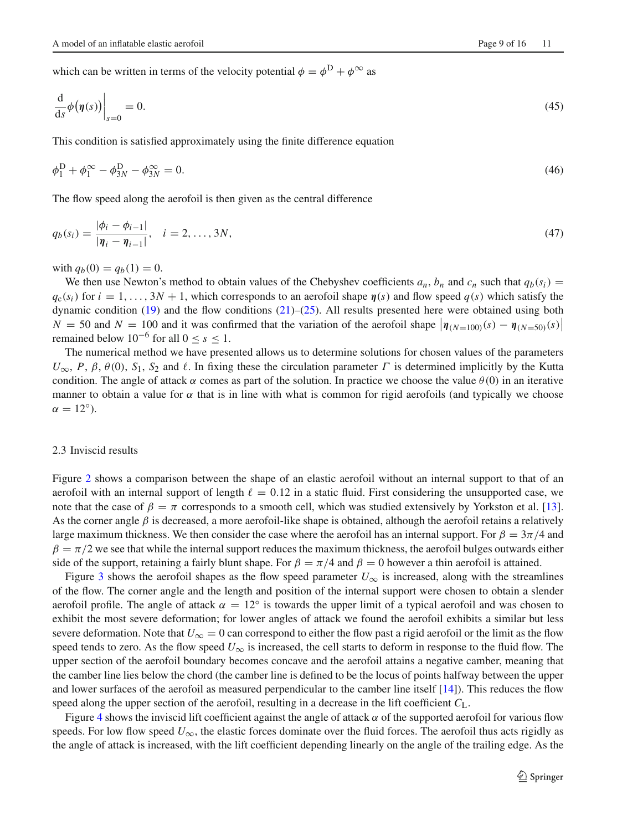which can be written in terms of the velocity potential  $\phi = \phi^D + \phi^\infty$  as

$$
\frac{\mathrm{d}}{\mathrm{d}s}\phi\big(\eta(s)\big)\bigg|_{s=0} = 0.\tag{45}
$$

This condition is satisfied approximately using the finite difference equation

$$
\phi_1^D + \phi_1^{\infty} - \phi_{3N}^D - \phi_{3N}^{\infty} = 0.
$$
\n(46)

The flow speed along the aerofoil is then given as the central difference

$$
q_b(s_i) = \frac{|\phi_i - \phi_{i-1}|}{|\eta_i - \eta_{i-1}|}, \quad i = 2, ..., 3N,
$$
\n(47)

with  $q_b(0) = q_b(1) = 0$ .

We then use Newton's method to obtain values of the Chebyshev coefficients  $a_n$ ,  $b_n$  and  $c_n$  such that  $q_b(s_i)$  =  $q_c(s_i)$  for  $i = 1, \ldots, 3N + 1$ , which corresponds to an aerofoil shape  $\eta(s)$  and flow speed  $q(s)$  which satisfy the dynamic condition [\(19\)](#page-4-2) and the flow conditions [\(21\)](#page-4-3)–[\(25\)](#page-4-4). All results presented here were obtained using both  $N = 50$  and  $N = 100$  and it was confirmed that the variation of the aerofoil shape  $|\eta_{(N=100)}(s) - \eta_{(N=50)}(s)|$ remained below  $10^{-6}$  for all  $0 \le s \le 1$ .

The numerical method we have presented allows us to determine solutions for chosen values of the parameters  $U_{\infty}$ , *P*,  $\beta$ ,  $\theta$ (0), *S*<sub>1</sub>, *S*<sub>2</sub> and  $\ell$ . In fixing these the circulation parameter  $\Gamma$  is determined implicitly by the Kutta condition. The angle of attack  $\alpha$  comes as part of the solution. In practice we choose the value  $\theta(0)$  in an iterative manner to obtain a value for  $\alpha$  that is in line with what is common for rigid aerofoils (and typically we choose  $\alpha = 12^{\circ}$ ).

#### 2.3 Inviscid results

Figure [2](#page-9-0) shows a comparison between the shape of an elastic aerofoil without an internal support to that of an aerofoil with an internal support of length  $\ell = 0.12$  in a static fluid. First considering the unsupported case, we note that the case of  $\beta = \pi$  corresponds to a smooth cell, which was studied extensively by Yorkston et al. [\[13](#page-15-12)]. As the corner angle  $\beta$  is decreased, a more aerofoil-like shape is obtained, although the aerofoil retains a relatively large maximum thickness. We then consider the case where the aerofoil has an internal support. For  $\beta = 3\pi/4$  and  $\beta = \pi/2$  we see that while the internal support reduces the maximum thickness, the aerofoil bulges outwards either side of the support, retaining a fairly blunt shape. For  $\beta = \pi/4$  and  $\beta = 0$  however a thin aerofoil is attained.

Figure [3](#page-9-1) shows the aerofoil shapes as the flow speed parameter  $U_{\infty}$  is increased, along with the streamlines of the flow. The corner angle and the length and position of the internal support were chosen to obtain a slender aerofoil profile. The angle of attack  $\alpha = 12^\circ$  is towards the upper limit of a typical aerofoil and was chosen to exhibit the most severe deformation; for lower angles of attack we found the aerofoil exhibits a similar but less severe deformation. Note that  $U_{\infty} = 0$  can correspond to either the flow past a rigid aerofoil or the limit as the flow speed tends to zero. As the flow speed  $U_{\infty}$  is increased, the cell starts to deform in response to the fluid flow. The upper section of the aerofoil boundary becomes concave and the aerofoil attains a negative camber, meaning that the camber line lies below the chord (the camber line is defined to be the locus of points halfway between the upper and lower surfaces of the aerofoil as measured perpendicular to the camber line itself [\[14\]](#page-15-13)). This reduces the flow speed along the upper section of the aerofoil, resulting in a decrease in the lift coefficient  $C_L$ .

Figure [4](#page-10-0) shows the inviscid lift coefficient against the angle of attack  $\alpha$  of the supported aerofoil for various flow speeds. For low flow speed  $U_{\infty}$ , the elastic forces dominate over the fluid forces. The aerofoil thus acts rigidly as the angle of attack is increased, with the lift coefficient depending linearly on the angle of the trailing edge. As the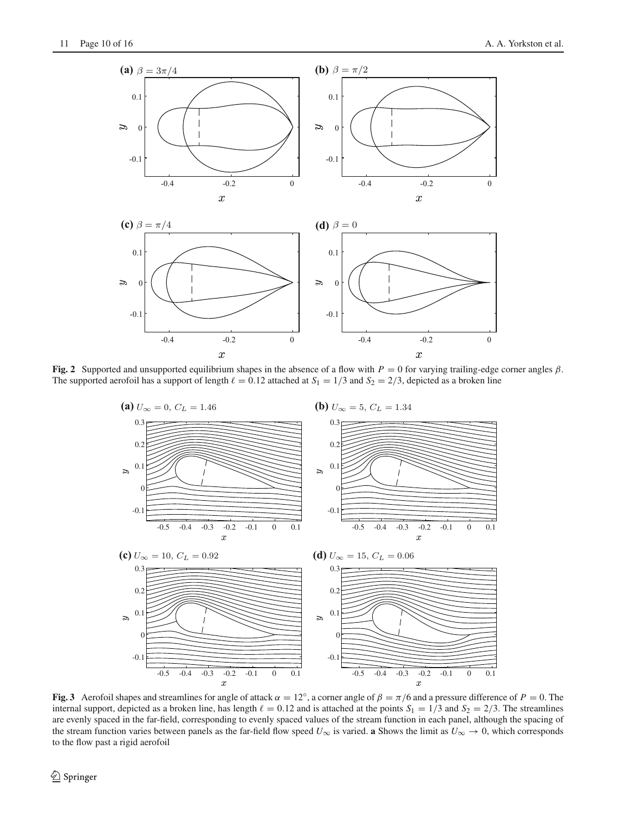

<span id="page-9-0"></span>**Fig. 2** Supported and unsupported equilibrium shapes in the absence of a flow with  $P = 0$  for varying trailing-edge corner angles  $\beta$ . The supported aerofoil has a support of length  $\ell = 0.12$  attached at  $S_1 = 1/3$  and  $S_2 = 2/3$ , depicted as a broken line



<span id="page-9-1"></span>**Fig. 3** Aerofoil shapes and streamlines for angle of attack  $\alpha = 12^\circ$ , a corner angle of  $\beta = \pi/6$  and a pressure difference of  $P = 0$ . The internal support, depicted as a broken line, has length  $\ell = 0.12$  and is attached at the points  $S_1 = 1/3$  and  $S_2 = 2/3$ . The streamlines are evenly spaced in the far-field, corresponding to evenly spaced values of the stream function in each panel, although the spacing of the stream function varies between panels as the far-field flow speed  $U_{\infty}$  is varied. **a** Shows the limit as  $U_{\infty} \to 0$ , which corresponds to the flow past a rigid aerofoil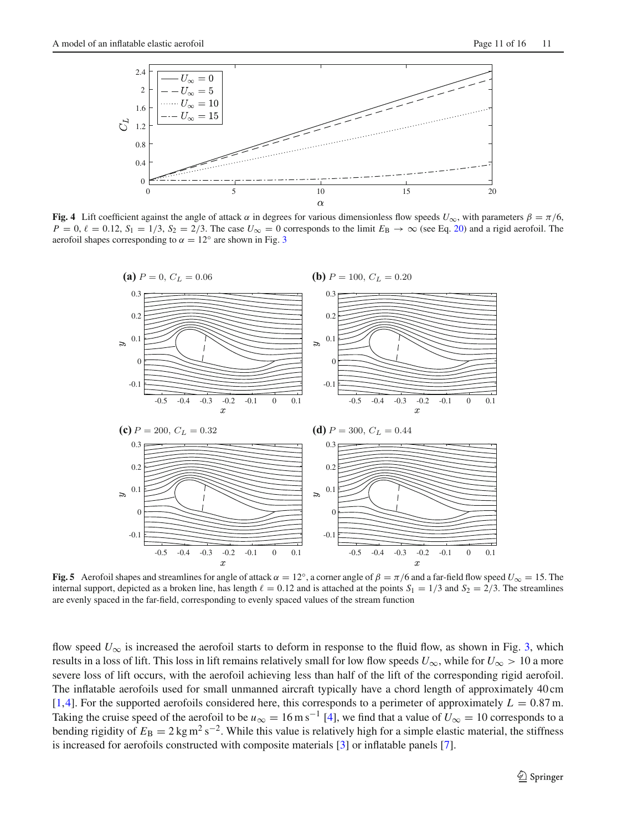

<span id="page-10-0"></span>**Fig. 4** Lift coefficient against the angle of attack  $\alpha$  in degrees for various dimensionless flow speeds  $U_{\infty}$ , with parameters  $\beta = \pi/6$ ,  $P = 0$ ,  $\ell = 0.12$ ,  $S_1 = 1/3$ ,  $S_2 = 2/3$ . The case  $U_{\infty} = 0$  corresponds to the limit  $E_B \rightarrow \infty$  (see Eq. [20\)](#page-4-7) and a rigid aerofoil. The aerofoil shapes corresponding to  $\alpha = 12^\circ$  are shown in Fig. [3](#page-9-1)



<span id="page-10-1"></span>**Fig. 5** Aerofoil shapes and streamlines for angle of attack  $\alpha = 12^\circ$ , a corner angle of  $\beta = \pi/6$  and a far-field flow speed  $U_\infty = 15$ . The internal support, depicted as a broken line, has length  $\ell = 0.12$  and is attached at the points  $S_1 = 1/3$  and  $S_2 = 2/3$ . The streamlines are evenly spaced in the far-field, corresponding to evenly spaced values of the stream function

flow speed  $U_{\infty}$  is increased the aerofoil starts to deform in response to the fluid flow, as shown in Fig. [3,](#page-9-1) which results in a loss of lift. This loss in lift remains relatively small for low flow speeds  $U_{\infty}$ , while for  $U_{\infty} > 10$  a more severe loss of lift occurs, with the aerofoil achieving less than half of the lift of the corresponding rigid aerofoil. The inflatable aerofoils used for small unmanned aircraft typically have a chord length of approximately 40 cm [\[1](#page-15-0)[,4](#page-15-3)]. For the supported aerofoils considered here, this corresponds to a perimeter of approximately  $L = 0.87$  m. Taking the cruise speed of the aerofoil to be  $u_{\infty} = 16 \text{ m s}^{-1}$  [\[4](#page-15-3)], we find that a value of  $U_{\infty} = 10$  corresponds to a bending rigidity of  $E_B = 2 \text{ kg m}^2 \text{ s}^{-2}$ . While this value is relatively high for a simple elastic material, the stiffness is increased for aerofoils constructed with composite materials [\[3\]](#page-15-2) or inflatable panels [\[7\]](#page-15-6).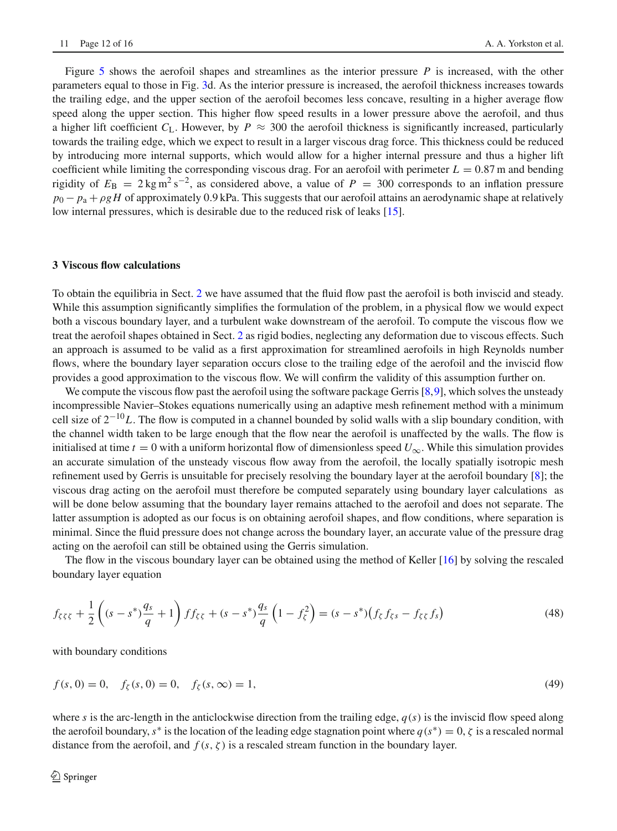Figure [5](#page-10-1) shows the aerofoil shapes and streamlines as the interior pressure *P* is increased, with the other parameters equal to those in Fig. [3d](#page-9-1). As the interior pressure is increased, the aerofoil thickness increases towards the trailing edge, and the upper section of the aerofoil becomes less concave, resulting in a higher average flow speed along the upper section. This higher flow speed results in a lower pressure above the aerofoil, and thus a higher lift coefficient  $C_L$ . However, by  $P \approx 300$  the aerofoil thickness is significantly increased, particularly towards the trailing edge, which we expect to result in a larger viscous drag force. This thickness could be reduced by introducing more internal supports, which would allow for a higher internal pressure and thus a higher lift coefficient while limiting the corresponding viscous drag. For an aerofoil with perimeter  $L = 0.87$  m and bending rigidity of  $E_B = 2 \text{ kg m}^2 \text{s}^{-2}$ , as considered above, a value of  $P = 300$  corresponds to an inflation pressure  $p_0 - p_a + \rho g H$  of approximately 0.9 kPa. This suggests that our aerofoil attains an aerodynamic shape at relatively low internal pressures, which is desirable due to the reduced risk of leaks [\[15](#page-15-14)].

#### <span id="page-11-0"></span>**3 Viscous flow calculations**

To obtain the equilibria in Sect. [2](#page-1-0) we have assumed that the fluid flow past the aerofoil is both inviscid and steady. While this assumption significantly simplifies the formulation of the problem, in a physical flow we would expect both a viscous boundary layer, and a turbulent wake downstream of the aerofoil. To compute the viscous flow we treat the aerofoil shapes obtained in Sect. [2](#page-1-0) as rigid bodies, neglecting any deformation due to viscous effects. Such an approach is assumed to be valid as a first approximation for streamlined aerofoils in high Reynolds number flows, where the boundary layer separation occurs close to the trailing edge of the aerofoil and the inviscid flow provides a good approximation to the viscous flow. We will confirm the validity of this assumption further on.

We compute the viscous flow past the aerofoil using the software package Gerris [\[8](#page-15-7)[,9](#page-15-8)], which solves the unsteady incompressible Navier–Stokes equations numerically using an adaptive mesh refinement method with a minimum cell size of 2−10*L*. The flow is computed in a channel bounded by solid walls with a slip boundary condition, with the channel width taken to be large enough that the flow near the aerofoil is unaffected by the walls. The flow is initialised at time  $t = 0$  with a uniform horizontal flow of dimensionless speed  $U_{\infty}$ . While this simulation provides an accurate simulation of the unsteady viscous flow away from the aerofoil, the locally spatially isotropic mesh refinement used by Gerris is unsuitable for precisely resolving the boundary layer at the aerofoil boundary [\[8](#page-15-7)]; the viscous drag acting on the aerofoil must therefore be computed separately using boundary layer calculations as will be done below assuming that the boundary layer remains attached to the aerofoil and does not separate. The latter assumption is adopted as our focus is on obtaining aerofoil shapes, and flow conditions, where separation is minimal. Since the fluid pressure does not change across the boundary layer, an accurate value of the pressure drag acting on the aerofoil can still be obtained using the Gerris simulation.

The flow in the viscous boundary layer can be obtained using the method of Keller [\[16\]](#page-15-15) by solving the rescaled boundary layer equation

$$
f_{\zeta\xi\zeta} + \frac{1}{2} \left( (s - s^*) \frac{q_s}{q} + 1 \right) f f_{\zeta\zeta} + (s - s^*) \frac{q_s}{q} \left( 1 - f_{\zeta}^2 \right) = (s - s^*) \left( f_{\zeta} f_{\zeta s} - f_{\zeta \zeta} f_s \right) \tag{48}
$$

with boundary conditions

$$
f(s, 0) = 0, \quad f_{\zeta}(s, 0) = 0, \quad f_{\zeta}(s, \infty) = 1,
$$
\n(49)

where *s* is the arc-length in the anticlockwise direction from the trailing edge,  $q(s)$  is the inviscid flow speed along the aerofoil boundary, *s*<sup>\*</sup> is the location of the leading edge stagnation point where  $q(s^*) = 0$ ,  $\zeta$  is a rescaled normal distance from the aerofoil, and  $f(s, \zeta)$  is a rescaled stream function in the boundary layer.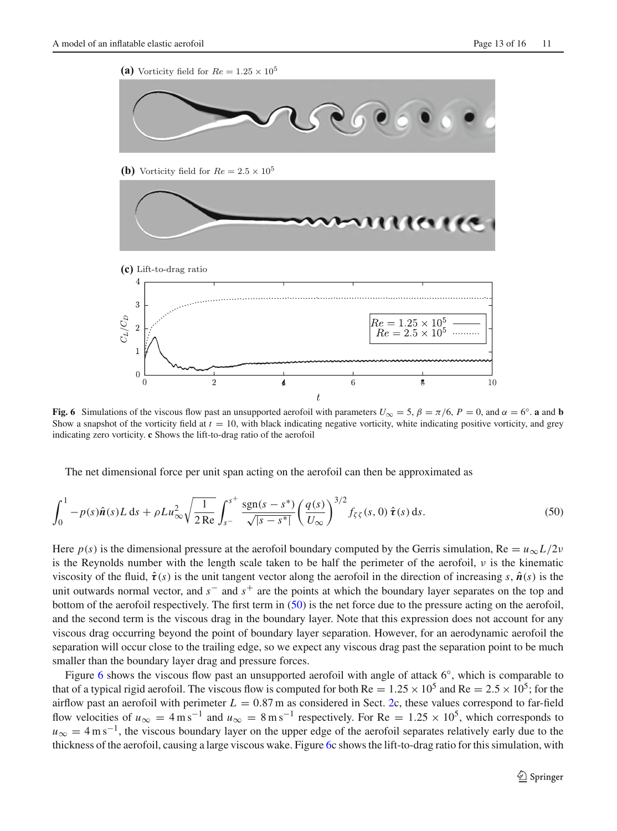(a) Vorticity field for  $Re = 1.25 \times 10^5$ 



**(b)** Vorticity field for  $Re = 2.5 \times 10^5$ 



<span id="page-12-1"></span>**Fig. 6** Simulations of the viscous flow past an unsupported aerofoil with parameters  $U_{\infty} = 5$ ,  $\beta = \pi/6$ ,  $P = 0$ , and  $\alpha = 6^{\circ}$ . **a** and **b** Show a snapshot of the vorticity field at  $t = 10$ , with black indicating negative vorticity, white indicating positive vorticity, and grey indicating zero vorticity. **c** Shows the lift-to-drag ratio of the aerofoil

<span id="page-12-0"></span>The net dimensional force per unit span acting on the aerofoil can then be approximated as

$$
\int_0^1 -p(s)\hat{\mathbf{n}}(s)L ds + \rho L u_{\infty}^2 \sqrt{\frac{1}{2 \text{ Re}}} \int_{s^-}^{s^+} \frac{\text{sgn}(s-s^*)}{\sqrt{|s-s^*|}} \left(\frac{q(s)}{U_{\infty}}\right)^{3/2} f_{\zeta\zeta}(s,0) \,\hat{\mathbf{\tau}}(s) \,ds. \tag{50}
$$

Here  $p(s)$  is the dimensional pressure at the aerofoil boundary computed by the Gerris simulation, Re =  $u_{\infty}L/2v$ is the Reynolds number with the length scale taken to be half the perimeter of the aerofoil,  $\nu$  is the kinematic viscosity of the fluid,  $\hat{\tau}(s)$  is the unit tangent vector along the aerofoil in the direction of increasing *s*,  $\hat{\boldsymbol{n}}(s)$  is the unit outwards normal vector, and *s*− and *s*+ are the points at which the boundary layer separates on the top and bottom of the aerofoil respectively. The first term in [\(50\)](#page-12-0) is the net force due to the pressure acting on the aerofoil, and the second term is the viscous drag in the boundary layer. Note that this expression does not account for any viscous drag occurring beyond the point of boundary layer separation. However, for an aerodynamic aerofoil the separation will occur close to the trailing edge, so we expect any viscous drag past the separation point to be much smaller than the boundary layer drag and pressure forces.

Figure [6](#page-12-1) shows the viscous flow past an unsupported aerofoil with angle of attack 6◦, which is comparable to that of a typical rigid aerofoil. The viscous flow is computed for both Re  $= 1.25 \times 10^5$  and Re  $= 2.5 \times 10^5$ ; for the airflow past an aerofoil with perimeter  $L = 0.87$  m as considered in Sect. [2c](#page-1-0), these values correspond to far-field flow velocities of  $u_{\infty} = 4 \text{ m s}^{-1}$  and  $u_{\infty} = 8 \text{ m s}^{-1}$  respectively. For Re = 1.25 × 10<sup>5</sup>, which corresponds to  $u_{\infty} = 4 \text{ m s}^{-1}$ , the viscous boundary layer on the upper edge of the aerofoil separates relatively early due to the thickness of the aerofoil, causing a large viscous wake. Figure [6c](#page-12-1) shows the lift-to-drag ratio for this simulation, with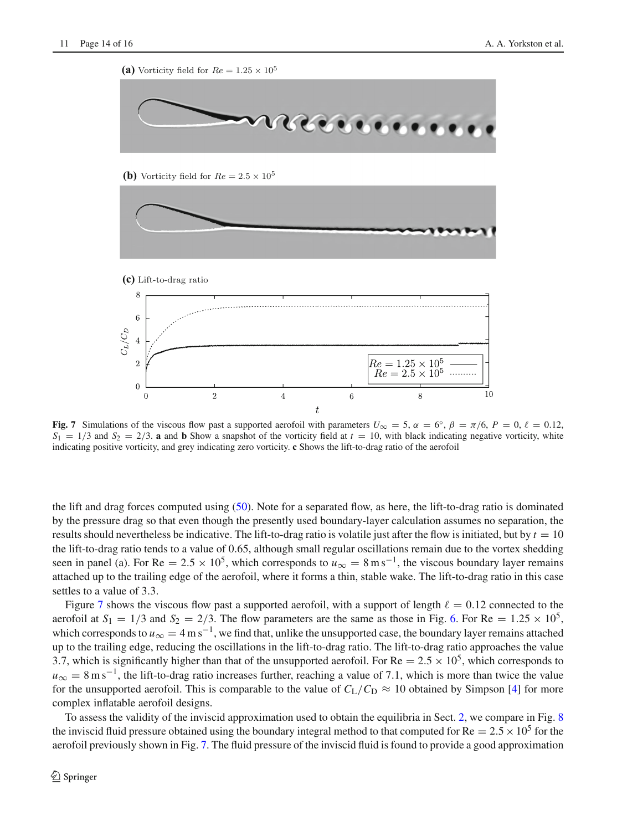

<span id="page-13-0"></span>**Fig. 7** Simulations of the viscous flow past a supported aerofoil with parameters  $U_{\infty} = 5$ ,  $\alpha = 6^{\circ}$ ,  $\beta = \pi/6$ ,  $P = 0$ ,  $\ell = 0.12$ ,  $S_1 = 1/3$  and  $S_2 = 2/3$ . **a** and **b** Show a snapshot of the vorticity field at  $t = 10$ , with black indicating negative vorticity, white indicating positive vorticity, and grey indicating zero vorticity. **c** Shows the lift-to-drag ratio of the aerofoil

the lift and drag forces computed using [\(50\)](#page-12-0). Note for a separated flow, as here, the lift-to-drag ratio is dominated by the pressure drag so that even though the presently used boundary-layer calculation assumes no separation, the results should nevertheless be indicative. The lift-to-drag ratio is volatile just after the flow is initiated, but by  $t = 10$ the lift-to-drag ratio tends to a value of 0.65, although small regular oscillations remain due to the vortex shedding seen in panel (a). For Re =  $2.5 \times 10^5$ , which corresponds to  $u_{\infty} = 8 \text{ m s}^{-1}$ , the viscous boundary layer remains attached up to the trailing edge of the aerofoil, where it forms a thin, stable wake. The lift-to-drag ratio in this case settles to a value of 3.3.

Figure [7](#page-13-0) shows the viscous flow past a supported aerofoil, with a support of length  $\ell = 0.12$  connected to the aerofoil at  $S_1 = 1/3$  and  $S_2 = 2/3$ . The flow parameters are the same as those in Fig. [6.](#page-12-1) For Re =  $1.25 \times 10^5$ , which corresponds to  $u_{\infty} = 4 \text{ m s}^{-1}$ , we find that, unlike the unsupported case, the boundary layer remains attached up to the trailing edge, reducing the oscillations in the lift-to-drag ratio. The lift-to-drag ratio approaches the value 3.7, which is significantly higher than that of the unsupported aerofoil. For Re =  $2.5 \times 10^5$ , which corresponds to  $u_{\infty} = 8 \text{ m s}^{-1}$ , the lift-to-drag ratio increases further, reaching a value of 7.1, which is more than twice the value for the unsupported aerofoil. This is comparable to the value of  $C_L/C_D \approx 10$  obtained by Simpson [\[4\]](#page-15-3) for more complex inflatable aerofoil designs.

To assess the validity of the inviscid approximation used to obtain the equilibria in Sect. [2,](#page-1-0) we compare in Fig. [8](#page-14-1) the inviscid fluid pressure obtained using the boundary integral method to that computed for  $Re = 2.5 \times 10^5$  for the aerofoil previously shown in Fig. [7.](#page-13-0) The fluid pressure of the inviscid fluid is found to provide a good approximation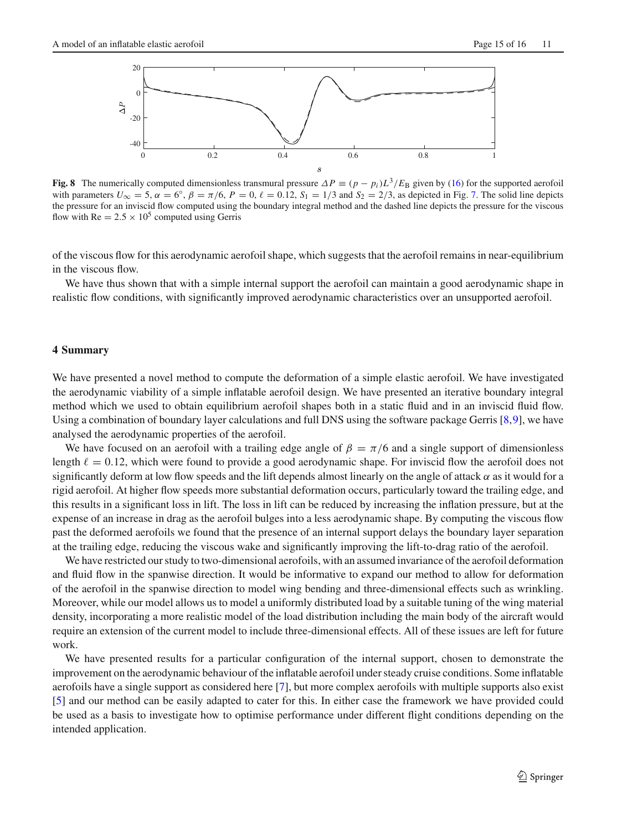

<span id="page-14-1"></span>**Fig. 8** The numerically computed dimensionless transmural pressure  $\Delta P \equiv (p - p_i)L^3/E_B$  given by [\(16\)](#page-3-4) for the supported aerofoil with parameters  $U_{\infty} = 5$ ,  $\alpha = 6^{\circ}$ ,  $\beta = \pi/6$ ,  $P = 0$ ,  $\ell = 0.12$ ,  $S_1 = 1/3$  and  $S_2 = 2/3$ , as depicted in Fig. [7.](#page-13-0) The solid line depicts the pressure for an inviscid flow computed using the boundary integral method and the dashed line depicts the pressure for the viscous flow with Re  $= 2.5 \times 10^5$  computed using Gerris

of the viscous flow for this aerodynamic aerofoil shape, which suggests that the aerofoil remains in near-equilibrium in the viscous flow.

We have thus shown that with a simple internal support the aerofoil can maintain a good aerodynamic shape in realistic flow conditions, with significantly improved aerodynamic characteristics over an unsupported aerofoil.

## <span id="page-14-0"></span>**4 Summary**

We have presented a novel method to compute the deformation of a simple elastic aerofoil. We have investigated the aerodynamic viability of a simple inflatable aerofoil design. We have presented an iterative boundary integral method which we used to obtain equilibrium aerofoil shapes both in a static fluid and in an inviscid fluid flow. Using a combination of boundary layer calculations and full DNS using the software package Gerris [\[8,](#page-15-7)[9\]](#page-15-8), we have analysed the aerodynamic properties of the aerofoil.

We have focused on an aerofoil with a trailing edge angle of  $\beta = \pi/6$  and a single support of dimensionless length  $\ell = 0.12$ , which were found to provide a good aerodynamic shape. For inviscid flow the aerofoil does not significantly deform at low flow speeds and the lift depends almost linearly on the angle of attack  $\alpha$  as it would for a rigid aerofoil. At higher flow speeds more substantial deformation occurs, particularly toward the trailing edge, and this results in a significant loss in lift. The loss in lift can be reduced by increasing the inflation pressure, but at the expense of an increase in drag as the aerofoil bulges into a less aerodynamic shape. By computing the viscous flow past the deformed aerofoils we found that the presence of an internal support delays the boundary layer separation at the trailing edge, reducing the viscous wake and significantly improving the lift-to-drag ratio of the aerofoil.

We have restricted our study to two-dimensional aerofoils, with an assumed invariance of the aerofoil deformation and fluid flow in the spanwise direction. It would be informative to expand our method to allow for deformation of the aerofoil in the spanwise direction to model wing bending and three-dimensional effects such as wrinkling. Moreover, while our model allows us to model a uniformly distributed load by a suitable tuning of the wing material density, incorporating a more realistic model of the load distribution including the main body of the aircraft would require an extension of the current model to include three-dimensional effects. All of these issues are left for future work.

We have presented results for a particular configuration of the internal support, chosen to demonstrate the improvement on the aerodynamic behaviour of the inflatable aerofoil under steady cruise conditions. Some inflatable aerofoils have a single support as considered here [\[7\]](#page-15-6), but more complex aerofoils with multiple supports also exist [\[5\]](#page-15-4) and our method can be easily adapted to cater for this. In either case the framework we have provided could be used as a basis to investigate how to optimise performance under different flight conditions depending on the intended application.